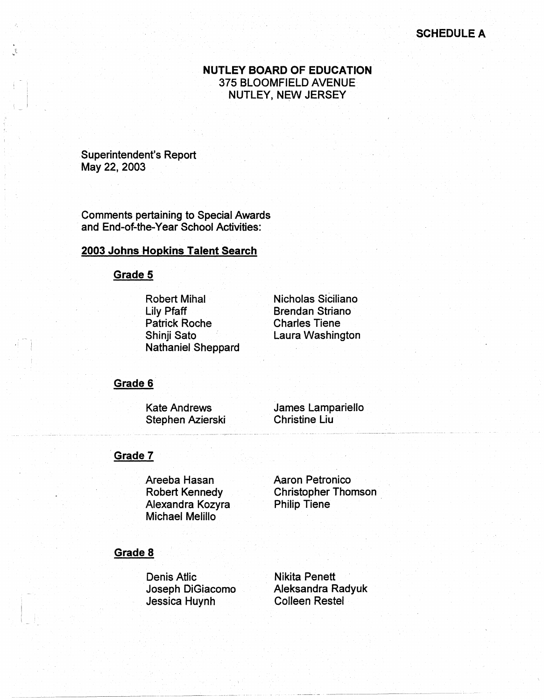## **NUTLEY BOARD OF EDUCATION** 375 BLOOMFIELD AVENUE NUTLEY, NEW JERSEY

**Superintendent's Report** May 22, 2003

J,

**Comments pertaining to Special Awards** and End-of-the-Year School Activities:

# 2003 Johns Hopkins Talent Search

## Grade 5

**Robert Mihal Lily Pfaff Patrick Roche** Shinji Sato **Nathaniel Sheppard**  Nicholas Siciliano **Brendan Striano Charles Tiene** Laura Washington

#### Grade 6

**Kate Andrews** Stephen Azierski James Lampariello **Christine Liu** 

## Grade 7

Areeba Hasan Robert Kennedy Alexandra Kozyra **Michael Melillo** 

**Aaron Petronico Christopher Thomson Philip Tiene** 

#### Grade 8

**Denis Atlic** Joseph DiGiacomo Jessica Huynh

**Nikita Penett** Aleksandra Radyuk **Colleen Restel**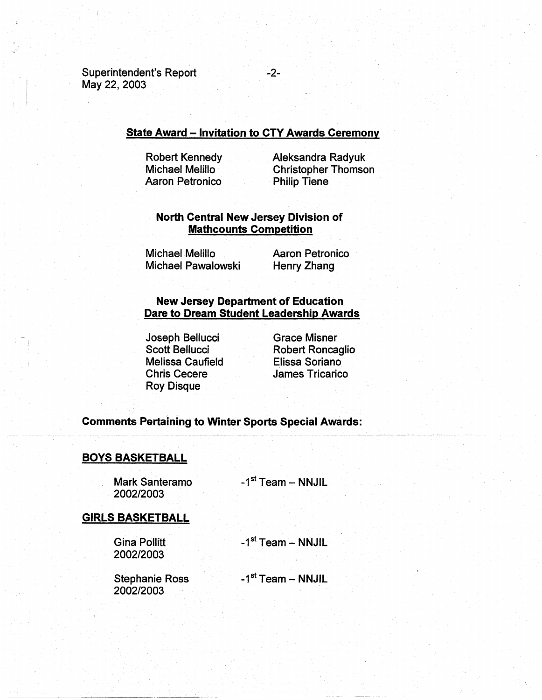Superintendent's Report May 22, 2003

### **State Award** - **Invitation to CTY Awards Ceremony**

Robert Kennedy **Michael Melillo** Aaron Petronico Aleksandra Radyuk Christopher Thomson Philip Tiene

## **North Central New Jersey Division of Mathcounts Competition**

Michael Melillo Michael Pawalowski

Aaron Petronico Henry Zhang

## **New Jersey Department of Education Dare to Dream Student Leadership Awards**

Joseph Bellucci Scott Bellucci Melissa Caufield Chris Cecere Roy Disque

Grace Misner Robert Roncaglio Elissa Soriano James Tricarico

### **Comments Pertaining to Winter Sports Special Awards:**

### **BOYS BASKETBALL**

Mark Santeramo 2002/2003

 $-1<sup>st</sup>$  Team - NNJIL

#### **GIRLS BASKETBALL**

**Gina Pollitt** 2002/2003

~~--~~~ ~-- ------~--- -·-··-·--····----------

 $-1<sup>st</sup>$  Team - NNJIL

Stephanie Ross 2002/2003 -1st Team - **NNJIL** 

-2-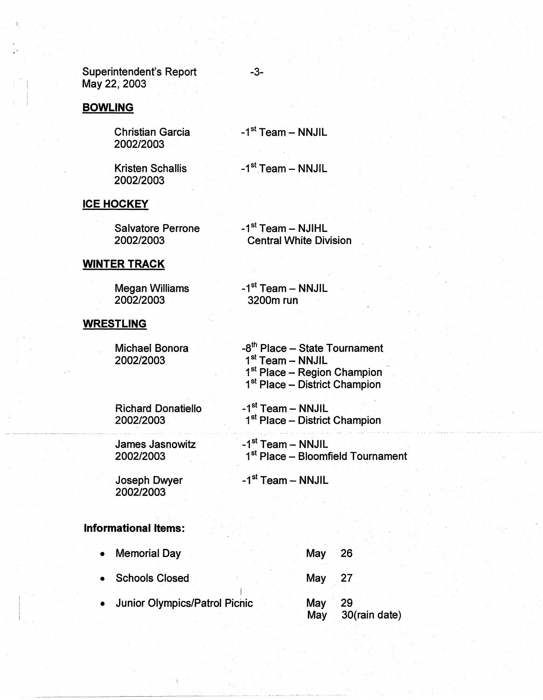Superintendent's Report -3-May 22, 2003

### **BOWLING**

Christian Garcia 2002/2003

 $-1<sup>st</sup>$  Team - NNJIL

Kristen Schallis 2002/2003

 $-1<sup>st</sup>$  Team - NNJIL

## **ICE HOCKEY**

| <b>Salvatore Perrone</b> | $-1st$ Team – NJIHL           |
|--------------------------|-------------------------------|
| 2002/2003                | <b>Central White Division</b> |

## **WINTER TRACK**

| Megan Williams | -1 <sup>st</sup> Team – NNJIL |
|----------------|-------------------------------|
| 2002/2003      | 3200m run                     |

## **WRESTLING**

Michael Bonora 2002/2003

 $-8<sup>th</sup>$  Place - State Tournament 1<sup>st</sup> Team - NNJIL 1<sup>st</sup> Place – Region Champion 1<sup>st</sup> Place – District Champion

Richard Donatiello 2002/2003

James Jasnowitz 2002/2003

-1<sup>st</sup> Team - NNJIL 1st Place - District Champion

 $-1<sup>st</sup>$  Team - NNJIL 1st Place - Bloomfield Tournament

Joseph Dwyer 2002/2003

 $-1<sup>st</sup>$  Team - NNJIL

# **Informational Items:**

| $\bullet$ | <b>Memorial Day</b>                  | May               | -26                 |
|-----------|--------------------------------------|-------------------|---------------------|
| $\bullet$ | <b>Schools Closed</b>                | May $27$          |                     |
|           | <b>Junior Olympics/Patrol Picnic</b> | May<br><b>May</b> | 29<br>30(rain date) |